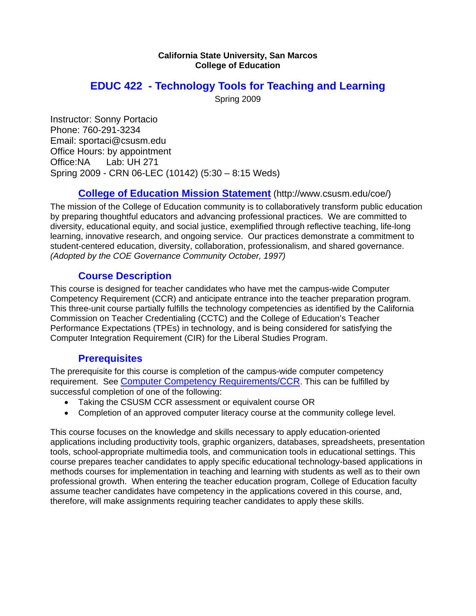#### **California State University, San Marcos College of Education**

# **EDUC 422 - Technology Tools for Teaching and Learning**

Spring 2009

Instructor: Sonny Portacio Phone: 760-291-3234 Email: sportaci@csusm.edu Office Hours: by appointment Office:NA Lab: UH 271 Spring 2009 - CRN 06-LEC (10142) (5:30 – 8:15 Weds)

## **College of Education Mission Statement** (http://www.csusm.edu/coe/)

The mission of the College of Education community is to collaboratively transform public education by preparing thoughtful educators and advancing professional practices. We are committed to diversity, educational equity, and social justice, exemplified through reflective teaching, life-long learning, innovative research, and ongoing service. Our practices demonstrate a commitment to student-centered education, diversity, collaboration, professionalism, and shared governance. *(Adopted by the COE Governance Community October, 1997)* 

# **Course Description**

This course is designed for teacher candidates who have met the campus-wide Computer Competency Requirement (CCR) and anticipate entrance into the teacher preparation program. This three-unit course partially fulfills the technology competencies as identified by the California Commission on Teacher Credentialing (CCTC) and the College of Education's Teacher Performance Expectations (TPEs) in technology, and is being considered for satisfying the Computer Integration Requirement (CIR) for the Liberal Studies Program.

# **Prerequisites**

The prerequisite for this course is completion of the campus-wide computer competency requirement. See Computer Competency Requirements/CCR. This can be fulfilled by successful completion of one of the following:

- Taking the CSUSM CCR assessment or equivalent course OR
- Completion of an approved computer literacy course at the community college level.

This course focuses on the knowledge and skills necessary to apply education-oriented applications including productivity tools, graphic organizers, databases, spreadsheets, presentation tools, school-appropriate multimedia tools, and communication tools in educational settings. This course prepares teacher candidates to apply specific educational technology-based applications in methods courses for implementation in teaching and learning with students as well as to their own professional growth. When entering the teacher education program, College of Education faculty assume teacher candidates have competency in the applications covered in this course, and, therefore, will make assignments requiring teacher candidates to apply these skills.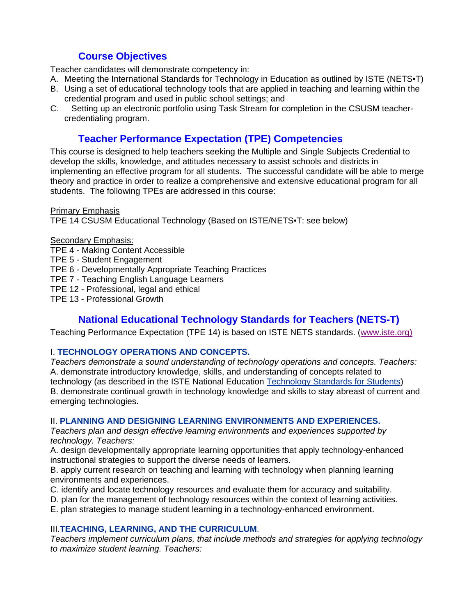# **Course Objectives**

Teacher candidates will demonstrate competency in:

- A. Meeting the International Standards for Technology in Education as outlined by ISTE (NETS•T)
- B. Using a set of educational technology tools that are applied in teaching and learning within the credential program and used in public school settings; and
- C. Setting up an electronic portfolio using Task Stream for completion in the CSUSM teachercredentialing program.

#### **Teacher Performance Expectation (TPE) Competencies**

This course is designed to help teachers seeking the Multiple and Single Subjects Credential to develop the skills, knowledge, and attitudes necessary to assist schools and districts in implementing an effective program for all students. The successful candidate will be able to merge theory and practice in order to realize a comprehensive and extensive educational program for all students. The following TPEs are addressed in this course:

Primary Emphasis TPE 14 CSUSM Educational Technology (Based on ISTE/NETS•T: see below)

Secondary Emphasis:

TPE 4 - Making Content Accessible

TPE 5 - Student Engagement

TPE 6 - Developmentally Appropriate Teaching Practices

TPE 7 - Teaching English Language Learners

TPE 12 - Professional, legal and ethical

TPE 13 - Professional Growth

# **National Educational Technology Standards for Teachers (NETS-T)**

Teaching Performance Expectation (TPE 14) is based on ISTE NETS standards. (<u>www.iste.org)</u><br>I. **TECHNOLOGY OPERATIONS AND CONCEPTS.** 

 *Teachers demonstrate a sound understanding of technology operations and concepts. Teachers:* A. demonstrate introductory knowledge, skills, and understanding of concepts related to technology (as described in the ISTE National Education Technology Standards for Students) B. demonstrate continual growth in technology knowledge and skills to stay abreast of current and emerging technologies.

#### II. **PLANNING AND DESIGNING LEARNING ENVIRONMENTS AND EXPERIENCES.**

 *technology. Teachers: Teachers plan and design effective learning environments and experiences supported by* 

A. design developmentally appropriate learning opportunities that apply technology-enhanced instructional strategies to support the diverse needs of learners.

B. apply current research on teaching and learning with technology when planning learning environments and experiences.

C. identify and locate technology resources and evaluate them for accuracy and suitability.

D. plan for the management of technology resources within the context of learning activities.

E. plan strategies to manage student learning in a technology-enhanced environment.

#### III.**TEACHING, LEARNING, AND THE CURRICULUM**.

 *to maximize student learning. Teachers: Teachers implement curriculum plans, that include methods and strategies for applying technology*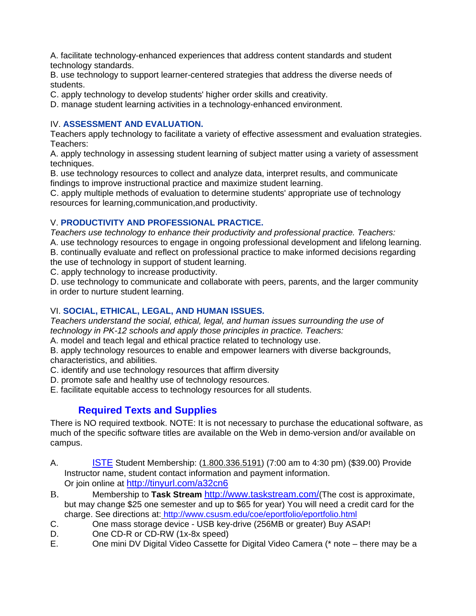A. facilitate technology-enhanced experiences that address content standards and student technology standards.

B. use technology to support learner-centered strategies that address the diverse needs of students.

C. apply technology to develop students' higher order skills and creativity.

D. manage student learning activities in a technology-enhanced environment.

#### IV. **ASSESSMENT AND EVALUATION.**

Teachers apply technology to facilitate a variety of effective assessment and evaluation strategies. Teachers:

A. apply technology in assessing student learning of subject matter using a variety of assessment techniques.

 findings to improve instructional practice and maximize student learning. B. use technology resources to collect and analyze data, interpret results, and communicate

C. apply multiple methods of evaluation to determine students' appropriate use of technology resources for learning,communication,and productivity.

#### V. **PRODUCTIVITY AND PROFESSIONAL PRACTICE.**

 *Teachers use technology to enhance their productivity and professional practice. Teachers:* A. use technology resources to engage in ongoing professional development and lifelong learning. B. continually evaluate and reflect on professional practice to make informed decisions regarding the use of technology in support of student learning.

C. apply technology to increase productivity.

D. use technology to communicate and collaborate with peers, parents, and the larger community in order to nurture student learning.

#### VI. **SOCIAL, ETHICAL, LEGAL, AND HUMAN ISSUES.**

 *technology in PK-12 schools and apply those principles in practice. Teachers: Teachers understand the social, ethical, legal, and human issues surrounding the use of* 

A. model and teach legal and ethical practice related to technology use.

B. apply technology resources to enable and empower learners with diverse backgrounds, characteristics, and abilities.

C. identify and use technology resources that affirm diversity

D. promote safe and healthy use of technology resources.

E. facilitate equitable access to technology resources for all students.

## **Required Texts and Supplies**

There is NO required textbook. NOTE: It is not necessary to purchase the educational software, as much of the specific software titles are available on the Web in demo-version and/or available on campus.

- A. ISTE Student Membership: (1.800.336.5191) (7:00 am to 4:30 pm) (\$39.00) Provide Instructor name, student contact information and payment information. Or join online at http://tinyurl.com/a32cn6
- charge. See directions at: http://www.csusm.edu/coe/eportfolio/eportfolio.html B. Membership to **Task Stream** http://www.taskstream.com/(The cost is approximate, but may change \$25 one semester and up to \$65 for year) You will need a credit card for the
- C. One mass storage device USB key-drive (256MB or greater) Buy ASAP!
- D. One CD-R or CD-RW (1x-8x speed)
- E. One mini DV Digital Video Cassette for Digital Video Camera (\* note there may be a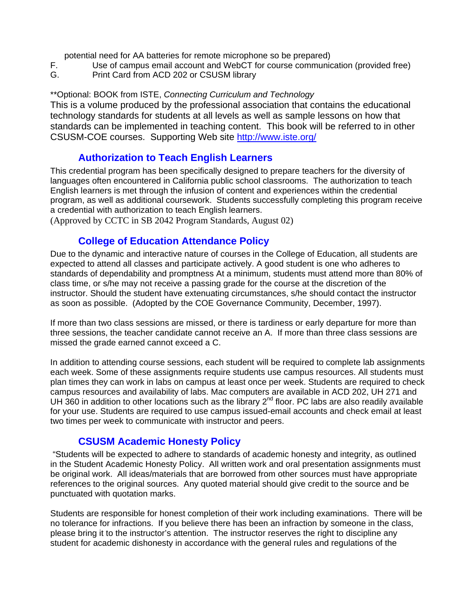potential need for AA batteries for remote microphone so be prepared)

- F. Use of campus email account and WebCT for course communication (provided free)
- G. Print Card from ACD 202 or CSUSM library

\*\*Optional: BOOK from ISTE, *Connecting Curriculum and Technology* 

This is a volume produced by the professional association that contains the educational technology standards for students at all levels as well as sample lessons on how that standards can be implemented in teaching content. This book will be referred to in other CSUSM-COE courses. Supporting Web site http://www.iste.org/

## **Authorization to Teach English Learners**

This credential program has been specifically designed to prepare teachers for the diversity of languages often encountered in California public school classrooms. The authorization to teach English learners is met through the infusion of content and experiences within the credential program, as well as additional coursework. Students successfully completing this program receive a credential with authorization to teach English learners.

(Approved by CCTC in SB 2042 Program Standards, August 02)

# **College of Education Attendance Policy**

Due to the dynamic and interactive nature of courses in the College of Education, all students are expected to attend all classes and participate actively. A good student is one who adheres to standards of dependability and promptness At a minimum, students must attend more than 80% of class time, or s/he may not receive a passing grade for the course at the discretion of the instructor. Should the student have extenuating circumstances, s/he should contact the instructor as soon as possible. (Adopted by the COE Governance Community, December, 1997).

If more than two class sessions are missed, or there is tardiness or early departure for more than three sessions, the teacher candidate cannot receive an A. If more than three class sessions are missed the grade earned cannot exceed a C.

In addition to attending course sessions, each student will be required to complete lab assignments each week. Some of these assignments require students use campus resources. All students must plan times they can work in labs on campus at least once per week. Students are required to check campus resources and availability of labs. Mac computers are available in ACD 202, UH 271 and UH 360 in addition to other locations such as the library  $2^{nd}$  floor. PC labs are also readily available for your use. Students are required to use campus issued-email accounts and check email at least two times per week to communicate with instructor and peers.

## **CSUSM Academic Honesty Policy**

 "Students will be expected to adhere to standards of academic honesty and integrity, as outlined in the Student Academic Honesty Policy. All written work and oral presentation assignments must be original work. All ideas/materials that are borrowed from other sources must have appropriate references to the original sources. Any quoted material should give credit to the source and be punctuated with quotation marks.

Students are responsible for honest completion of their work including examinations. There will be no tolerance for infractions. If you believe there has been an infraction by someone in the class, please bring it to the instructor's attention. The instructor reserves the right to discipline any student for academic dishonesty in accordance with the general rules and regulations of the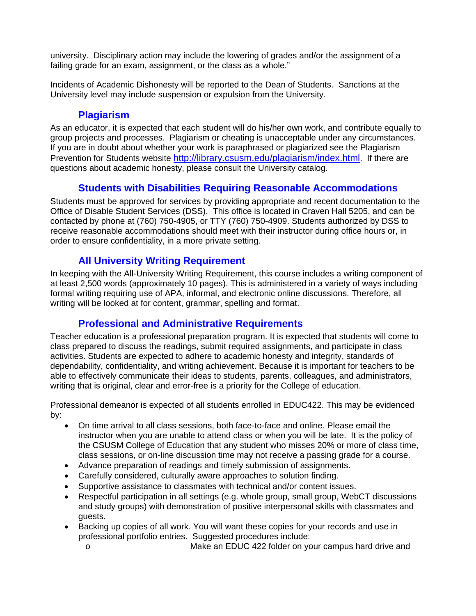university. Disciplinary action may include the lowering of grades and/or the assignment of a failing grade for an exam, assignment, or the class as a whole."

Incidents of Academic Dishonesty will be reported to the Dean of Students. Sanctions at the University level may include suspension or expulsion from the University.

## **Plagiarism**

As an educator, it is expected that each student will do his/her own work, and contribute equally to group projects and processes. Plagiarism or cheating is unacceptable under any circumstances. If you are in doubt about whether your work is paraphrased or plagiarized see the Plagiarism Prevention for Students website http://library.csusm.edu/plagiarism/index.html. If there are questions about academic honesty, please consult the University catalog.

# **Students with Disabilities Requiring Reasonable Accommodations**

Students must be approved for services by providing appropriate and recent documentation to the Office of Disable Student Services (DSS). This office is located in Craven Hall 5205, and can be contacted by phone at (760) 750-4905, or TTY (760) 750-4909. Students authorized by DSS to receive reasonable accommodations should meet with their instructor during office hours or, in order to ensure confidentiality, in a more private setting.

## **All University Writing Requirement**

In keeping with the All-University Writing Requirement, this course includes a writing component of at least 2,500 words (approximately 10 pages). This is administered in a variety of ways including formal writing requiring use of APA, informal, and electronic online discussions. Therefore, all writing will be looked at for content, grammar, spelling and format.

# **Professional and Administrative Requirements**

Teacher education is a professional preparation program. It is expected that students will come to class prepared to discuss the readings, submit required assignments, and participate in class activities. Students are expected to adhere to academic honesty and integrity, standards of dependability, confidentiality, and writing achievement. Because it is important for teachers to be able to effectively communicate their ideas to students, parents, colleagues, and administrators, writing that is original, clear and error-free is a priority for the College of education.

Professional demeanor is expected of all students enrolled in EDUC422. This may be evidenced by:

- On time arrival to all class sessions, both face-to-face and online. Please email the instructor when you are unable to attend class or when you will be late. It is the policy of the CSUSM College of Education that any student who misses 20% or more of class time, class sessions, or on-line discussion time may not receive a passing grade for a course.
- Advance preparation of readings and timely submission of assignments.
- Carefully considered, culturally aware approaches to solution finding.
- Supportive assistance to classmates with technical and/or content issues.
- Respectful participation in all settings (e.g. whole group, small group, WebCT discussions and study groups) with demonstration of positive interpersonal skills with classmates and guests.
- Backing up copies of all work. You will want these copies for your records and use in professional portfolio entries. Suggested procedures include:
	- o Make an EDUC 422 folder on your campus hard drive and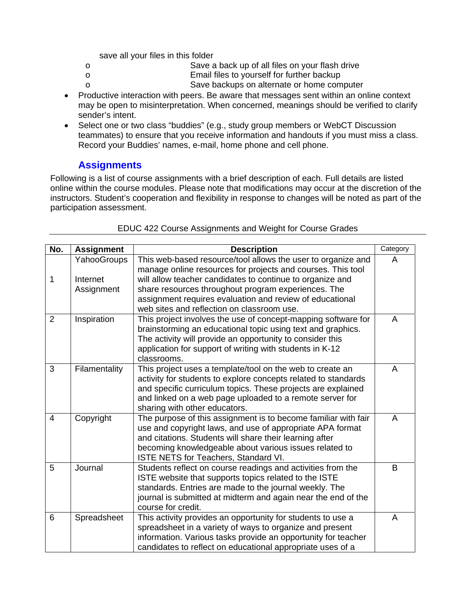save all your files in this folder

- o Save a back up of all files on your flash drive
- o Email files to yourself for further backup
- o Save backups on alternate or home computer
- Productive interaction with peers. Be aware that messages sent within an online context may be open to misinterpretation. When concerned, meanings should be verified to clarify sender's intent.
- teammates) to ensure that you receive information and handouts if you must miss a class.<br>Record your Buddies' names, e-mail, home phone and cell phone. Select one or two class "buddies" (e.g., study group members or WebCT Discussion

#### **Assignments**

Following is a list of course assignments with a brief description of each. Full details are listed online within the course modules. Please note that modifications may occur at the discretion of the instructors. Student's cooperation and flexibility in response to changes will be noted as part of the participation assessment.

| No. | <b>Assignment</b> | <b>Description</b>                                                                                                          | Category |
|-----|-------------------|-----------------------------------------------------------------------------------------------------------------------------|----------|
|     | YahooGroups       | This web-based resource/tool allows the user to organize and                                                                | A        |
|     |                   | manage online resources for projects and courses. This tool                                                                 |          |
| 1   | Internet          | will allow teacher candidates to continue to organize and                                                                   |          |
|     | Assignment        | share resources throughout program experiences. The                                                                         |          |
|     |                   | assignment requires evaluation and review of educational                                                                    |          |
|     |                   | web sites and reflection on classroom use.                                                                                  |          |
| 2   | Inspiration       | This project involves the use of concept-mapping software for                                                               | A        |
|     |                   | brainstorming an educational topic using text and graphics.                                                                 |          |
|     |                   | The activity will provide an opportunity to consider this                                                                   |          |
|     |                   | application for support of writing with students in K-12                                                                    |          |
|     |                   | classrooms.                                                                                                                 |          |
| 3   | Filamentality     | This project uses a template/tool on the web to create an                                                                   | A        |
|     |                   | activity for students to explore concepts related to standards                                                              |          |
|     |                   | and specific curriculum topics. These projects are explained                                                                |          |
|     |                   | and linked on a web page uploaded to a remote server for                                                                    |          |
| 4   |                   | sharing with other educators.                                                                                               | A        |
|     | Copyright         | The purpose of this assignment is to become familiar with fair<br>use and copyright laws, and use of appropriate APA format |          |
|     |                   | and citations. Students will share their learning after                                                                     |          |
|     |                   | becoming knowledgeable about various issues related to                                                                      |          |
|     |                   | <b>ISTE NETS for Teachers, Standard VI.</b>                                                                                 |          |
| 5   | Journal           | Students reflect on course readings and activities from the                                                                 | B        |
|     |                   | ISTE website that supports topics related to the ISTE                                                                       |          |
|     |                   | standards. Entries are made to the journal weekly. The                                                                      |          |
|     |                   | journal is submitted at midterm and again near the end of the                                                               |          |
|     |                   | course for credit.                                                                                                          |          |
| 6   | Spreadsheet       | This activity provides an opportunity for students to use a                                                                 | A        |
|     |                   | spreadsheet in a variety of ways to organize and present                                                                    |          |
|     |                   | information. Various tasks provide an opportunity for teacher                                                               |          |
|     |                   | candidates to reflect on educational appropriate uses of a                                                                  |          |

#### EDUC 422 Course Assignments and Weight for Course Grades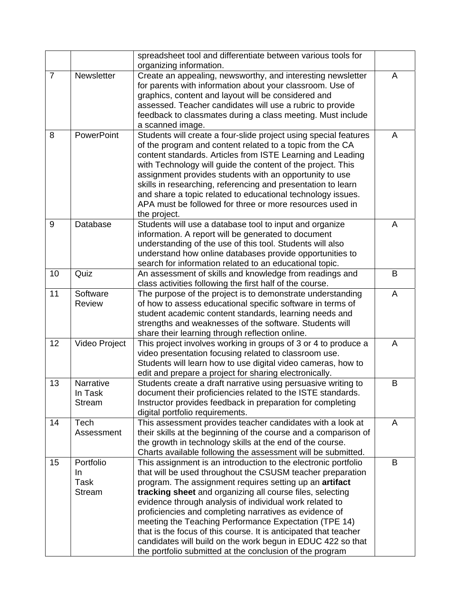|                |               | spreadsheet tool and differentiate between various tools for<br>organizing information.                             |   |
|----------------|---------------|---------------------------------------------------------------------------------------------------------------------|---|
| $\overline{7}$ | Newsletter    | Create an appealing, newsworthy, and interesting newsletter                                                         | A |
|                |               | for parents with information about your classroom. Use of                                                           |   |
|                |               | graphics, content and layout will be considered and                                                                 |   |
|                |               | assessed. Teacher candidates will use a rubric to provide                                                           |   |
|                |               | feedback to classmates during a class meeting. Must include                                                         |   |
|                |               | a scanned image.                                                                                                    |   |
| 8              | PowerPoint    | Students will create a four-slide project using special features                                                    | A |
|                |               | of the program and content related to a topic from the CA                                                           |   |
|                |               | content standards. Articles from ISTE Learning and Leading                                                          |   |
|                |               | with Technology will guide the content of the project. This                                                         |   |
|                |               | assignment provides students with an opportunity to use                                                             |   |
|                |               | skills in researching, referencing and presentation to learn                                                        |   |
|                |               | and share a topic related to educational technology issues.                                                         |   |
|                |               | APA must be followed for three or more resources used in                                                            |   |
|                |               | the project.                                                                                                        |   |
| 9              | Database      | Students will use a database tool to input and organize                                                             | A |
|                |               | information. A report will be generated to document                                                                 |   |
|                |               | understanding of the use of this tool. Students will also                                                           |   |
|                |               | understand how online databases provide opportunities to                                                            |   |
|                |               | search for information related to an educational topic.                                                             |   |
| 10             | Quiz          | An assessment of skills and knowledge from readings and<br>class activities following the first half of the course. | B |
| 11             | Software      | The purpose of the project is to demonstrate understanding                                                          | A |
|                | <b>Review</b> | of how to assess educational specific software in terms of                                                          |   |
|                |               | student academic content standards, learning needs and                                                              |   |
|                |               | strengths and weaknesses of the software. Students will                                                             |   |
|                |               | share their learning through reflection online.                                                                     |   |
| 12             | Video Project | This project involves working in groups of 3 or 4 to produce a                                                      | A |
|                |               | video presentation focusing related to classroom use.                                                               |   |
|                |               | Students will learn how to use digital video cameras, how to                                                        |   |
|                |               | edit and prepare a project for sharing electronically.                                                              |   |
| 13             | Narrative     | Students create a draft narrative using persuasive writing to                                                       | B |
|                | In Task       | document their proficiencies related to the ISTE standards.                                                         |   |
|                | <b>Stream</b> | Instructor provides feedback in preparation for completing                                                          |   |
| 14             | Tech          | digital portfolio requirements.<br>This assessment provides teacher candidates with a look at                       | A |
|                | Assessment    | their skills at the beginning of the course and a comparison of                                                     |   |
|                |               | the growth in technology skills at the end of the course.                                                           |   |
|                |               | Charts available following the assessment will be submitted.                                                        |   |
| 15             | Portfolio     | This assignment is an introduction to the electronic portfolio                                                      | B |
|                | In            | that will be used throughout the CSUSM teacher preparation                                                          |   |
|                | Task          | program. The assignment requires setting up an artifact                                                             |   |
|                | <b>Stream</b> | tracking sheet and organizing all course files, selecting                                                           |   |
|                |               | evidence through analysis of individual work related to                                                             |   |
|                |               | proficiencies and completing narratives as evidence of                                                              |   |
|                |               | meeting the Teaching Performance Expectation (TPE 14)                                                               |   |
|                |               | that is the focus of this course. It is anticipated that teacher                                                    |   |
|                |               | candidates will build on the work begun in EDUC 422 so that                                                         |   |
|                |               | the portfolio submitted at the conclusion of the program                                                            |   |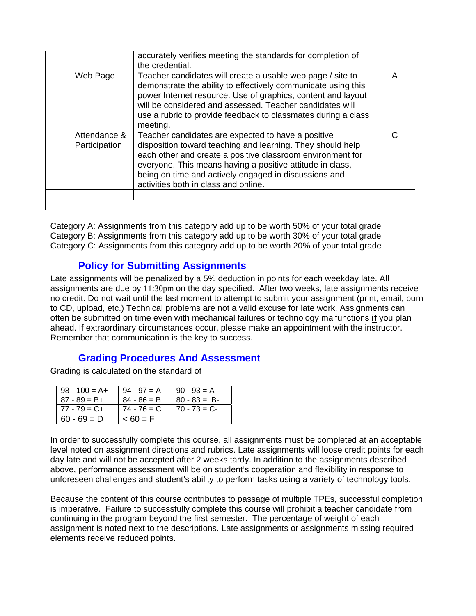|                               | accurately verifies meeting the standards for completion of<br>the credential.                                                                                                                                                                                                                                                               |   |
|-------------------------------|----------------------------------------------------------------------------------------------------------------------------------------------------------------------------------------------------------------------------------------------------------------------------------------------------------------------------------------------|---|
| Web Page                      | Teacher candidates will create a usable web page / site to<br>demonstrate the ability to effectively communicate using this<br>power Internet resource. Use of graphics, content and layout<br>will be considered and assessed. Teacher candidates will<br>use a rubric to provide feedback to classmates during a class<br>meeting.         | A |
| Attendance &<br>Participation | Teacher candidates are expected to have a positive<br>disposition toward teaching and learning. They should help<br>each other and create a positive classroom environment for<br>everyone. This means having a positive attitude in class,<br>being on time and actively engaged in discussions and<br>activities both in class and online. | C |
|                               |                                                                                                                                                                                                                                                                                                                                              |   |

Category A: Assignments from this category add up to be worth 50% of your total grade Category B: Assignments from this category add up to be worth 30% of your total grade Category C: Assignments from this category add up to be worth 20% of your total grade

## **Policy for Submitting Assignments**

Late assignments will be penalized by a 5% deduction in points for each weekday late. All assignments are due by 11:30pm on the day specified. After two weeks, late assignments receive no credit. Do not wait until the last moment to attempt to submit your assignment (print, email, burn to CD, upload, etc.) Technical problems are not a valid excuse for late work. Assignments can often be submitted on time even with mechanical failures or technology malfunctions **if** you plan ahead. If extraordinary circumstances occur, please make an appointment with the instructor. Remember that communication is the key to success.

## **Grading Procedures And Assessment**

Grading is calculated on the standard of

| $98 - 100 = A +$ | $94 - 97 = A$ | $90 - 93 = A$ |
|------------------|---------------|---------------|
| $87 - 89 = B +$  | $84 - 86 = B$ | $80 - 83 = B$ |
| $77 - 79 = C +$  | $74 - 76 = C$ | $70 - 73 = C$ |
| $60 - 69 = D$    | $< 60 = F$    |               |

In order to successfully complete this course, all assignments must be completed at an acceptable level noted on assignment directions and rubrics. Late assignments will loose credit points for each day late and will not be accepted after 2 weeks tardy. In addition to the assignments described above, performance assessment will be on student's cooperation and flexibility in response to unforeseen challenges and student's ability to perform tasks using a variety of technology tools.

Because the content of this course contributes to passage of multiple TPEs, successful completion is imperative. Failure to successfully complete this course will prohibit a teacher candidate from continuing in the program beyond the first semester. The percentage of weight of each assignment is noted next to the descriptions. Late assignments or assignments missing required elements receive reduced points.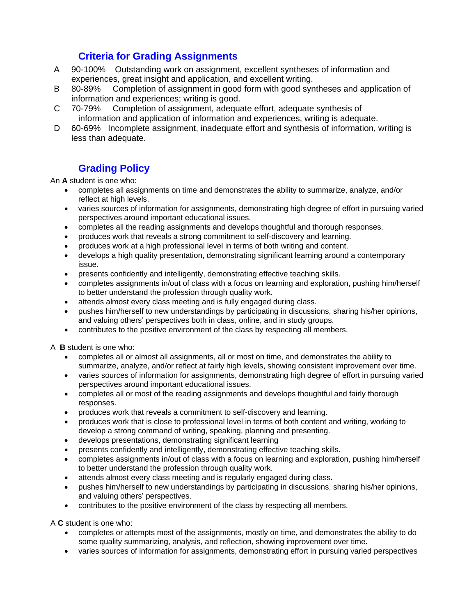# **Criteria for Grading Assignments**

- A 90-100% Outstanding work on assignment, excellent syntheses of information and experiences, great insight and application, and excellent writing.
- B 80-89% Completion of assignment in good form with good syntheses and application of information and experiences; writing is good.
- C 70-79% Completion of assignment, adequate effort, adequate synthesis of information and application of information and experiences, writing is adequate.
- D 60-69% Incomplete assignment, inadequate effort and synthesis of information, writing is less than adequate.

# **Grading Policy**

An **A** student is one who:

- completes all assignments on time and demonstrates the ability to summarize, analyze, and/or reflect at high levels.
- varies sources of information for assignments, demonstrating high degree of effort in pursuing varied perspectives around important educational issues.
- completes all the reading assignments and develops thoughtful and thorough responses.
- produces work that reveals a strong commitment to self-discovery and learning.
- produces work at a high professional level in terms of both writing and content.
- develops a high quality presentation, demonstrating significant learning around a contemporary issue.
- presents confidently and intelligently, demonstrating effective teaching skills.
- completes assignments in/out of class with a focus on learning and exploration, pushing him/herself to better understand the profession through quality work.
- attends almost every class meeting and is fully engaged during class.
- pushes him/herself to new understandings by participating in discussions, sharing his/her opinions, and valuing others' perspectives both in class, online, and in study groups.
- contributes to the positive environment of the class by respecting all members.

A **B** student is one who:

- • completes all or almost all assignments, all or most on time, and demonstrates the ability to summarize, analyze, and/or reflect at fairly high levels, showing consistent improvement over time.
- varies sources of information for assignments, demonstrating high degree of effort in pursuing varied perspectives around important educational issues.
- responses. completes all or most of the reading assignments and develops thoughtful and fairly thorough
- produces work that reveals a commitment to self-discovery and learning.
- produces work that is close to professional level in terms of both content and writing, working to develop a strong command of writing, speaking, planning and presenting.
- • develops presentations, demonstrating significant learning
- presents confidently and intelligently, demonstrating effective teaching skills.
- completes assignments in/out of class with a focus on learning and exploration, pushing him/herself to better understand the profession through quality work.
- attends almost every class meeting and is regularly engaged during class.
- pushes him/herself to new understandings by participating in discussions, sharing his/her opinions, and valuing others' perspectives.
- contributes to the positive environment of the class by respecting all members.

A **C** student is one who:

- completes or attempts most of the assignments, mostly on time, and demonstrates the ability to do some quality summarizing, analysis, and reflection, showing improvement over time.
- varies sources of information for assignments, demonstrating effort in pursuing varied perspectives